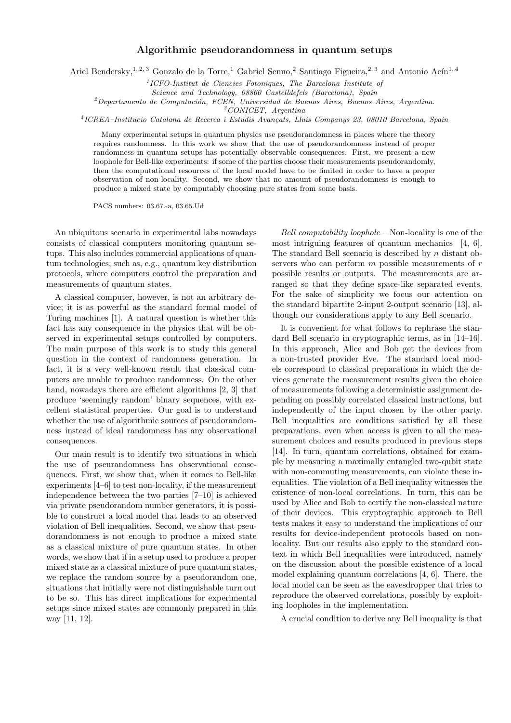## Algorithmic pseudorandomness in quantum setups

Ariel Bendersky,<sup>1, 2, 3</sup> Gonzalo de la Torre,<sup>1</sup> Gabriel Senno,<sup>2</sup> Santiago Figueira,<sup>2, 3</sup> and Antonio Acín<sup>1, 4</sup>

<sup>1</sup>ICFO-Institut de Ciencies Fotoniques, The Barcelona Institute of

Science and Technology, 08860 Castelldefels (Barcelona), Spain

 $2$ Departamento de Computación, FCEN, Universidad de Buenos Aires, Buenos Aires, Argentina.

<sup>3</sup>CONICET, Argentina

<sup>4</sup>ICREA-Institucio Catalana de Recerca i Estudis Avançats, Lluis Companys 23, 08010 Barcelona, Spain

Many experimental setups in quantum physics use pseudorandomness in places where the theory requires randomness. In this work we show that the use of pseudorandomness instead of proper randomness in quantum setups has potentially observable consequences. First, we present a new loophole for Bell-like experiments: if some of the parties choose their measurements pseudorandomly, then the computational resources of the local model have to be limited in order to have a proper observation of non-locality. Second, we show that no amount of pseudorandomness is enough to produce a mixed state by computably choosing pure states from some basis.

PACS numbers: 03.67.-a, 03.65.Ud

An ubiquitous scenario in experimental labs nowadays consists of classical computers monitoring quantum setups. This also includes commercial applications of quantum technologies, such as, e.g., quantum key distribution protocols, where computers control the preparation and measurements of quantum states.

A classical computer, however, is not an arbitrary device; it is as powerful as the standard formal model of Turing machines [1]. A natural question is whether this fact has any consequence in the physics that will be observed in experimental setups controlled by computers. The main purpose of this work is to study this general question in the context of randomness generation. In fact, it is a very well-known result that classical computers are unable to produce randomness. On the other hand, nowadays there are efficient algorithms [2, 3] that produce 'seemingly random' binary sequences, with excellent statistical properties. Our goal is to understand whether the use of algorithmic sources of pseudorandomness instead of ideal randomness has any observational consequences.

Our main result is to identify two situations in which the use of pseurandomness has observational consequences. First, we show that, when it comes to Bell-like experiments [4–6] to test non-locality, if the measurement independence between the two parties [7–10] is achieved via private pseudorandom number generators, it is possible to construct a local model that leads to an observed violation of Bell inequalities. Second, we show that pseudorandomness is not enough to produce a mixed state as a classical mixture of pure quantum states. In other words, we show that if in a setup used to produce a proper mixed state as a classical mixture of pure quantum states, we replace the random source by a pseudorandom one, situations that initially were not distinguishable turn out to be so. This has direct implications for experimental setups since mixed states are commonly prepared in this way [11, 12].

Bell computability loophole – Non-locality is one of the most intriguing features of quantum mechanics [4, 6]. The standard Bell scenario is described by n distant observers who can perform  $m$  possible measurements of  $r$ possible results or outputs. The measurements are arranged so that they define space-like separated events. For the sake of simplicity we focus our attention on the standard bipartite 2-input 2-output scenario [13], although our considerations apply to any Bell scenario.

It is convenient for what follows to rephrase the standard Bell scenario in cryptographic terms, as in [14–16]. In this approach, Alice and Bob get the devices from a non-trusted provider Eve. The standard local models correspond to classical preparations in which the devices generate the measurement results given the choice of measurements following a deterministic assignment depending on possibly correlated classical instructions, but independently of the input chosen by the other party. Bell inequalities are conditions satisfied by all these preparations, even when access is given to all the measurement choices and results produced in previous steps [14]. In turn, quantum correlations, obtained for example by measuring a maximally entangled two-qubit state with non-commuting measurements, can violate these inequalities. The violation of a Bell inequality witnesses the existence of non-local correlations. In turn, this can be used by Alice and Bob to certify the non-classical nature of their devices. This cryptographic approach to Bell tests makes it easy to understand the implications of our results for device-independent protocols based on nonlocality. But our results also apply to the standard context in which Bell inequalities were introduced, namely on the discussion about the possible existence of a local model explaining quantum correlations [4, 6]. There, the local model can be seen as the eavesdropper that tries to reproduce the observed correlations, possibly by exploiting loopholes in the implementation.

A crucial condition to derive any Bell inequality is that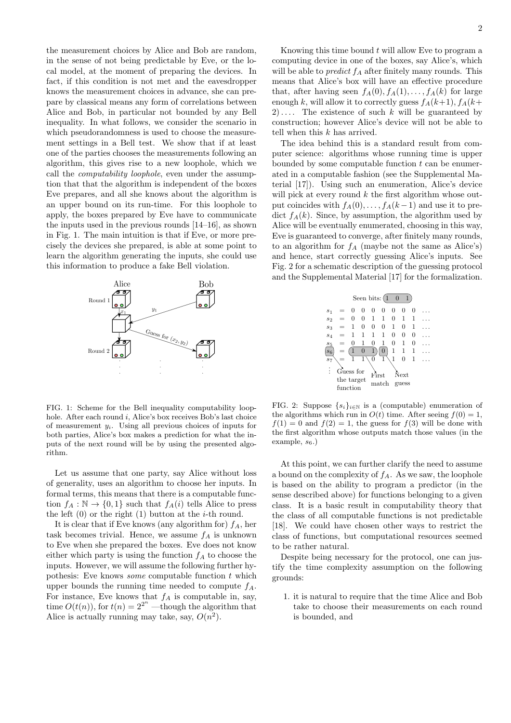the measurement choices by Alice and Bob are random, in the sense of not being predictable by Eve, or the local model, at the moment of preparing the devices. In fact, if this condition is not met and the eavesdropper knows the measurement choices in advance, she can prepare by classical means any form of correlations between Alice and Bob, in particular not bounded by any Bell inequality. In what follows, we consider the scenario in which pseudorandomness is used to choose the measurement settings in a Bell test. We show that if at least one of the parties chooses the measurements following an algorithm, this gives rise to a new loophole, which we call the *computability loophole*, even under the assumption that that the algorithm is independent of the boxes Eve prepares, and all she knows about the algorithm is an upper bound on its run-time. For this loophole to apply, the boxes prepared by Eve have to communicate the inputs used in the previous rounds [14–16], as shown in Fig. 1. The main intuition is that if Eve, or more precisely the devices she prepared, is able at some point to learn the algorithm generating the inputs, she could use this information to produce a fake Bell violation.



FIG. 1: Scheme for the Bell inequality computability loophole. After each round i, Alice's box receives Bob's last choice of measurement  $y_i$ . Using all previous choices of inputs for both parties, Alice's box makes a prediction for what the inputs of the next round will be by using the presented algorithm.

Let us assume that one party, say Alice without loss of generality, uses an algorithm to choose her inputs. In formal terms, this means that there is a computable function  $f_A : \mathbb{N} \to \{0,1\}$  such that  $f_A(i)$  tells Alice to press the left  $(0)$  or the right  $(1)$  button at the *i*-th round.

It is clear that if Eve knows (any algorithm for)  $f_A$ , her task becomes trivial. Hence, we assume  $f_A$  is unknown to Eve when she prepared the boxes. Eve does not know either which party is using the function  $f_A$  to choose the inputs. However, we will assume the following further hypothesis: Eve knows *some* computable function  $t$  which upper bounds the running time needed to compute  $f_A$ . For instance, Eve knows that  $f_A$  is computable in, say, time  $O(t(n))$ , for  $t(n) = 2^{2^n}$  —though the algorithm that Alice is actually running may take, say,  $O(n^2)$ .

Knowing this time bound  $t$  will allow Eve to program a computing device in one of the boxes, say Alice's, which will be able to *predict*  $f_A$  after finitely many rounds. This means that Alice's box will have an effective procedure that, after having seen  $f_A(0), f_A(1), \ldots, f_A(k)$  for large enough k, will allow it to correctly guess  $f_A(k+1)$ ,  $f_A(k+1)$ 2).... The existence of such k will be guaranteed by construction; however Alice's device will not be able to tell when this k has arrived.

The idea behind this is a standard result from computer science: algorithms whose running time is upper bounded by some computable function  $t$  can be enumerated in a computable fashion (see the Supplemental Material [17]). Using such an enumeration, Alice's device will pick at every round  $k$  the first algorithm whose output coincides with  $f_A(0), \ldots, f_A(k-1)$  and use it to predict  $f_A(k)$ . Since, by assumption, the algorithm used by Alice will be eventually enumerated, choosing in this way, Eve is guaranteed to converge, after finitely many rounds, to an algorithm for  $f_A$  (maybe not the same as Alice's) and hence, start correctly guessing Alice's inputs. See Fig. 2 for a schematic description of the guessing protocol and the Supplemental Material [17] for the formalization.



FIG. 2: Suppose  $\{s_i\}_{i\in\mathbb{N}}$  is a (computable) enumeration of the algorithms which run in  $O(t)$  time. After seeing  $f(0) = 1$ ,  $f(1) = 0$  and  $f(2) = 1$ , the guess for  $f(3)$  will be done with the first algorithm whose outputs match those values (in the  $\alpha$ example,  $s_6$ .)

At this point, we can further clarify the need to assume a bound on the complexity of  $f_A$ . As we saw, the loophole is based on the ability to program a predictor (in the sense described above) for functions belonging to a given class. It is a basic result in computability theory that the class of all computable functions is not predictable [18]. We could have chosen other ways to restrict the class of functions, but computational resources seemed to be rather natural.

Despite being necessary for the protocol, one can justify the time complexity assumption on the following grounds:

1. it is natural to require that the time Alice and Bob take to choose their measurements on each round is bounded, and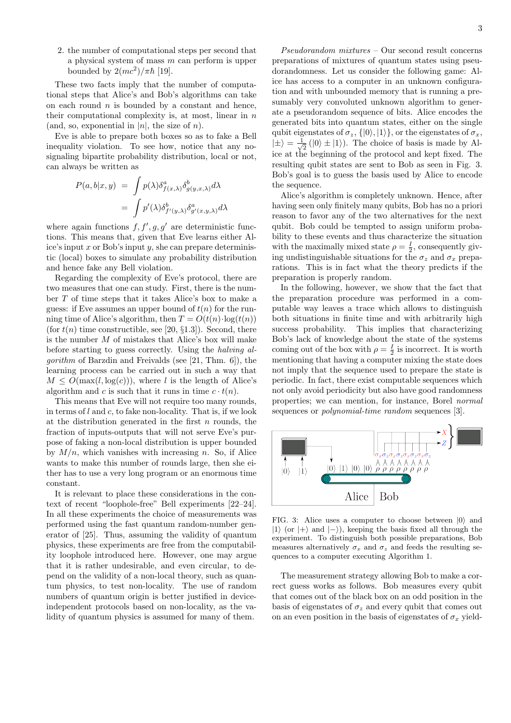2. the number of computational steps per second that a physical system of mass  $m$  can perform is upper bounded by  $2(mc^2)/\pi\hbar$  [19].

These two facts imply that the number of computational steps that Alice's and Bob's algorithms can take on each round  $n$  is bounded by a constant and hence, their computational complexity is, at most, linear in  $n$ (and, so, exponential in  $|n|$ , the size of n).

Eve is able to prepare both boxes so as to fake a Bell inequality violation. To see how, notice that any nosignaling bipartite probability distribution, local or not, can always be written as

$$
P(a,b|x,y) = \int p(\lambda)\delta^a_{f(x,\lambda)}\delta^b_{g(y,x,\lambda)}d\lambda
$$
  
= 
$$
\int p'(\lambda)\delta^b_{f'(y,\lambda)}\delta^a_{g'(x,y,\lambda)}d\lambda
$$

where again functions  $f, f', g, g'$  are deterministic functions. This means that, given that Eve learns either Alice's input  $x$  or Bob's input  $y$ , she can prepare deterministic (local) boxes to simulate any probability distribution and hence fake any Bell violation.

Regarding the complexity of Eve's protocol, there are two measures that one can study. First, there is the number T of time steps that it takes Alice's box to make a guess: if Eve assumes an upper bound of  $t(n)$  for the running time of Alice's algorithm, then  $T = O(t(n) \cdot \log(t(n)))$ (for  $t(n)$  time constructible, see [20, §1.3]). Second, there is the number  $M$  of mistakes that Alice's box will make before starting to guess correctly. Using the halving algorithm of Barzdin and Freivalds (see [21, Thm. 6]), the learning process can be carried out in such a way that  $M \leq O(\max(l, \log(c)))$ , where l is the length of Alice's algorithm and c is such that it runs in time  $c \cdot t(n)$ .

This means that Eve will not require too many rounds, in terms of  $l$  and  $c$ , to fake non-locality. That is, if we look at the distribution generated in the first  $n$  rounds, the fraction of inputs-outputs that will not serve Eve's purpose of faking a non-local distribution is upper bounded by  $M/n$ , which vanishes with increasing n. So, if Alice wants to make this number of rounds large, then she either has to use a very long program or an enormous time constant.

It is relevant to place these considerations in the context of recent "loophole-free" Bell experiments [22–24]. In all these experiments the choice of measurements was performed using the fast quantum random-number generator of [25]. Thus, assuming the validity of quantum physics, these experiments are free from the computability loophole introduced here. However, one may argue that it is rather undesirable, and even circular, to depend on the validity of a non-local theory, such as quantum physics, to test non-locality. The use of random numbers of quantum origin is better justified in deviceindependent protocols based on non-locality, as the validity of quantum physics is assumed for many of them.

Pseudorandom mixtures – Our second result concerns preparations of mixtures of quantum states using pseudorandomness. Let us consider the following game: Alice has access to a computer in an unknown configuration and with unbounded memory that is running a presumably very convoluted unknown algorithm to generate a pseudorandom sequence of bits. Alice encodes the generated bits into quantum states, either on the single qubit eigenstates of  $\sigma_z$ ,  $\{|0\rangle, |1\rangle\}$ , or the eigenstates of  $\sigma_x$ ,  $|\pm\rangle = \frac{1}{\sqrt{2}}$  $\frac{1}{2}$  (|0)  $\pm$  |1)). The choice of basis is made by Alice at the beginning of the protocol and kept fixed. The resulting qubit states are sent to Bob as seen in Fig. 3. Bob's goal is to guess the basis used by Alice to encode the sequence.

Alice's algorithm is completely unknown. Hence, after having seen only finitely many qubits, Bob has no a priori reason to favor any of the two alternatives for the next qubit. Bob could be tempted to assign uniform probability to these events and thus characterize the situation with the maximally mixed state  $\rho = \frac{I}{2}$ , consequently giving undistinguishable situations for the  $\sigma_z$  and  $\sigma_x$  preparations. This is in fact what the theory predicts if the preparation is properly random.

In the following, however, we show that the fact that the preparation procedure was performed in a computable way leaves a trace which allows to distinguish both situations in finite time and with arbitrarily high success probability. This implies that characterizing Bob's lack of knowledge about the state of the systems coming out of the box with  $\rho = \frac{I}{2}$  is incorrect. It is worth mentioning that having a computer mixing the state does not imply that the sequence used to prepare the state is periodic. In fact, there exist computable sequences which not only avoid periodicity but also have good randomness properties; we can mention, for instance, Borel normal sequences or *polynomial-time random* sequences [3].



FIG. 3: Alice uses a computer to choose between  $|0\rangle$  and  $|1\rangle$  (or  $|+\rangle$  and  $|-\rangle$ ), keeping the basis fixed all through the experiment. To distinguish both possible preparations, Bob measures alternatively  $\sigma_x$  and  $\sigma_z$  and feeds the resulting sequences to a computer executing Algorithm 1.

The measurement strategy allowing Bob to make a correct guess works as follows. Bob measures every qubit that comes out of the black box on an odd position in the basis of eigenstates of  $\sigma_z$  and every qubit that comes out on an even position in the basis of eigenstates of  $\sigma_x$  yield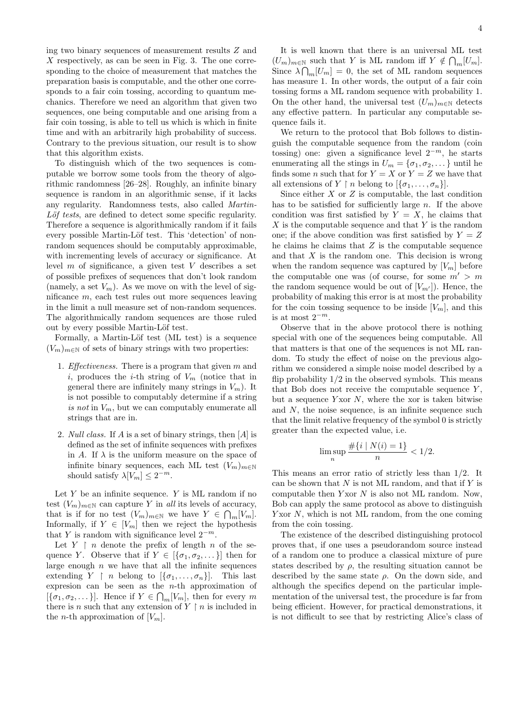ing two binary sequences of measurement results Z and  $X$  respectively, as can be seen in Fig. 3. The one corresponding to the choice of measurement that matches the preparation basis is computable, and the other one corresponds to a fair coin tossing, according to quantum mechanics. Therefore we need an algorithm that given two sequences, one being computable and one arising from a fair coin tossing, is able to tell us which is which in finite time and with an arbitrarily high probability of success. Contrary to the previous situation, our result is to show that this algorithm exists.

To distinguish which of the two sequences is computable we borrow some tools from the theory of algorithmic randomness [26–28]. Roughly, an infinite binary sequence is random in an algorithmic sense, if it lacks any regularity. Randomness tests, also called Martin- $L\ddot{o}f$  tests, are defined to detect some specific regularity. Therefore a sequence is algorithmically random if it fails every possible Martin-Löf test. This 'detection' of nonrandom sequences should be computably approximable, with incrementing levels of accuracy or significance. At level  $m$  of significance, a given test  $V$  describes a set of possible prefixes of sequences that don't look random (namely, a set  $V_m$ ). As we move on with the level of significance m, each test rules out more sequences leaving in the limit a null measure set of non-random sequences. The algorithmically random sequences are those ruled out by every possible Martin-Löf test.

Formally, a Martin-Löf test (ML test) is a sequence  $(V_m)_{m\in\mathbb{N}}$  of sets of binary strings with two properties:

- 1. *Effectiveness*. There is a program that given  $m$  and i, produces the *i*-th string of  $V_m$  (notice that in general there are infinitely many strings in  $V_m$ ). It is not possible to computably determine if a string is not in  $V_m$ , but we can computably enumerate all strings that are in.
- 2. Null class. If A is a set of binary strings, then [A] is defined as the set of infinite sequences with prefixes in A. If  $\lambda$  is the uniform measure on the space of infinite binary sequences, each ML test  $(V_m)_{m \in \mathbb{N}}$ should satisfy  $\lambda[V_m] \leq 2^{-m}$ .

Let  $Y$  be an infinite sequence.  $Y$  is ML random if no test  $(V_m)_{m \in \mathbb{N}}$  can capture Y in all its levels of accuracy, that is if for no test  $(V_m)_{m \in \mathbb{N}}$  we have  $Y \in \bigcap_m [V_m]$ . Informally, if  $Y \in [V_m]$  then we reject the hypothesis that Y is random with significance level  $2^{-m}$ .

Let  $Y \restriction n$  denote the prefix of length n of the sequence Y. Observe that if  $Y \in [\{\sigma_1, \sigma_2, \dots\}]$  then for large enough  $n$  we have that all the infinite sequences extending  $Y \restriction n$  belong to  $[\{\sigma_1, \ldots, \sigma_n\}]$ . This last expresion can be seen as the n-th approximation of  $[\{\sigma_1, \sigma_2, \dots\}].$  Hence if  $Y \in \bigcap_m [V_m]$ , then for every m there is n such that any extension of  $Y \restriction n$  is included in the *n*-th approximation of  $[V_m]$ .

It is well known that there is an universal ML test  $(U_m)_{m\in\mathbb{N}}$  such that Y is ML random iff  $Y \notin \bigcap_m [U_m]$ . Since  $\lambda \bigcap_m [U_m] = 0$ , the set of ML random sequences has measure 1. In other words, the output of a fair coin tossing forms a ML random sequence with probability 1. On the other hand, the universal test  $(U_m)_{m\in\mathbb{N}}$  detects any effective pattern. In particular any computable sequence fails it.

We return to the protocol that Bob follows to distinguish the computable sequence from the random (coin tossing) one: given a significance level  $2^{-m}$ , he starts enumerating all the stings in  $U_m = {\sigma_1, \sigma_2, \dots}$  until he finds some *n* such that for  $Y = X$  or  $Y = Z$  we have that all extensions of  $Y \restriction n$  belong to  $\{\{\sigma_1, \ldots, \sigma_n\}\}.$ 

Since either  $X$  or  $Z$  is computable, the last condition has to be satisfied for sufficiently large  $n$ . If the above condition was first satisfied by  $Y = X$ , he claims that  $X$  is the computable sequence and that Y is the random one; if the above condition was first satisfied by  $Y = Z$ he claims he claims that  $Z$  is the computable sequence and that  $X$  is the random one. This decision is wrong when the random sequence was captured by  $[V_m]$  before the computable one was (of course, for some  $m' > m$ the random sequence would be out of  $[V_{m'}]$ ). Hence, the probability of making this error is at most the probability for the coin tossing sequence to be inside  $[V_m]$ , and this is at most  $2^{-m}$ .

Observe that in the above protocol there is nothing special with one of the sequences being computable. All that matters is that one of the sequences is not ML random. To study the effect of noise on the previous algorithm we considered a simple noise model described by a flip probability  $1/2$  in the observed symbols. This means that Bob does not receive the computable sequence  $Y$ , but a sequence  $Y \times N$ , where the xor is taken bitwise and  $N$ , the noise sequence, is an infinite sequence such that the limit relative frequency of the symbol 0 is strictly greater than the expected value, i.e.

$$
\limsup_{n} \frac{\#\{i \mid N(i) = 1\}}{n} < 1/2.
$$

This means an error ratio of strictly less than 1/2. It can be shown that  $N$  is not ML random, and that if  $Y$  is computable then  $Y \text{xor } N$  is also not ML random. Now, Bob can apply the same protocol as above to distinguish Y xor  $N$ , which is not ML random, from the one coming from the coin tossing.

The existence of the described distinguishing protocol proves that, if one uses a pseudorandom source instead of a random one to produce a classical mixture of pure states described by  $\rho$ , the resulting situation cannot be described by the same state  $\rho$ . On the down side, and although the specifics depend on the particular implementation of the universal test, the procedure is far from being efficient. However, for practical demonstrations, it is not difficult to see that by restricting Alice's class of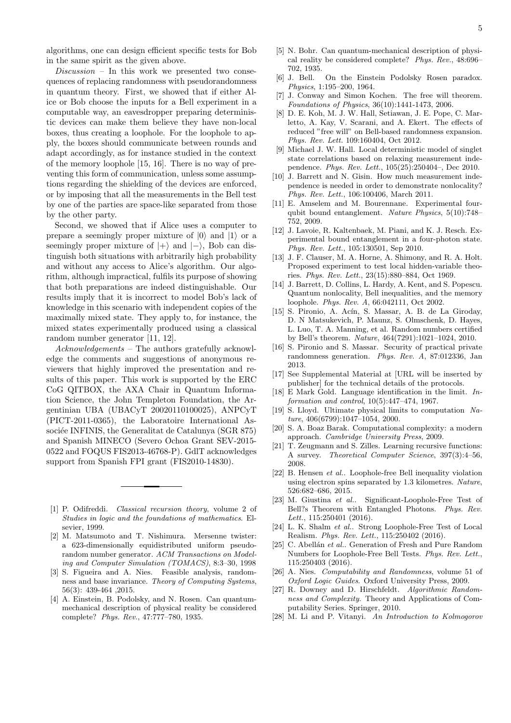algorithms, one can design efficient specific tests for Bob in the same spirit as the given above.

 $Discussion - In this work we presented two cones$ quences of replacing randomness with pseudorandomness in quantum theory. First, we showed that if either Alice or Bob choose the inputs for a Bell experiment in a computable way, an eavesdropper preparing deterministic devices can make them believe they have non-local boxes, thus creating a loophole. For the loophole to apply, the boxes should communicate between rounds and adapt accordingly, as for instance studied in the context of the memory loophole [15, 16]. There is no way of preventing this form of communication, unless some assumptions regarding the shielding of the devices are enforced, or by imposing that all the measurements in the Bell test by one of the parties are space-like separated from those by the other party.

Second, we showed that if Alice uses a computer to prepare a seemingly proper mixture of  $|0\rangle$  and  $|1\rangle$  or a seemingly proper mixture of  $|+\rangle$  and  $|-\rangle$ , Bob can distinguish both situations with arbitrarily high probability and without any access to Alice's algorithm. Our algorithm, although impractical, fulfils its purpose of showing that both preparations are indeed distinguishable. Our results imply that it is incorrect to model Bob's lack of knowledge in this scenario with independent copies of the maximally mixed state. They apply to, for instance, the mixed states experimentally produced using a classical random number generator [11, 12].

Acknowledgements – The authors gratefully acknowledge the comments and suggestions of anonymous reviewers that highly improved the presentation and results of this paper. This work is supported by the ERC CoG QITBOX, the AXA Chair in Quantum Information Science, the John Templeton Foundation, the Argentinian UBA (UBACyT 20020110100025), ANPCyT (PICT-2011-0365), the Laboratoire International Associée INFINIS, the Generalitat de Catalunya (SGR 875) and Spanish MINECO (Severo Ochoa Grant SEV-2015- 0522 and FOQUS FIS2013-46768-P). GdlT acknowledges support from Spanish FPI grant (FIS2010-14830).

- [1] P. Odifreddi. Classical recursion theory, volume 2 of Studies in logic and the foundations of mathematics. Elsevier, 1999.
- [2] M. Matsumoto and T. Nishimura. Mersenne twister: a 623-dimensionally equidistributed uniform pseudorandom number generator. ACM Transactions on Modeling and Computer Simulation (TOMACS), 8:3–30, 1998
- [3] S. Figueira and A. Nies. Feasible analysis, randomness and base invariance. Theory of Computing Systems, 56(3): 439-464 ,2015.
- [4] A. Einstein, B. Podolsky, and N. Rosen. Can quantummechanical description of physical reality be considered complete? Phys. Rev., 47:777–780, 1935.
- [5] N. Bohr. Can quantum-mechanical description of physical reality be considered complete? Phys. Rev., 48:696– 702, 1935.
- [6] J. Bell. On the Einstein Podolsky Rosen paradox. Physics, 1:195–200, 1964.
- [7] J. Conway and Simon Kochen. The free will theorem. Foundations of Physics, 36(10):1441-1473, 2006.
- [8] D. E. Koh, M. J. W. Hall, Setiawan, J. E. Pope, C. Marletto, A. Kay, V. Scarani, and A. Ekert. The effects of reduced "free will" on Bell-based randomness expansion. Phys. Rev. Lett. 109:160404, Oct 2012.
- [9] Michael J. W. Hall. Local deterministic model of singlet state correlations based on relaxing measurement independence. Phys. Rev. Lett., 105(25):250404–, Dec 2010.
- [10] J. Barrett and N. Gisin. How much measurement independence is needed in order to demonstrate nonlocality? Phys. Rev. Lett., 106:100406, March 2011.
- [11] E. Amselem and M. Bourennane. Experimental fourqubit bound entanglement. Nature Physics, 5(10):748– 752, 2009.
- [12] J. Lavoie, R. Kaltenbaek, M. Piani, and K. J. Resch. Experimental bound entanglement in a four-photon state. Phys. Rev. Lett., 105:130501, Sep 2010.
- [13] J. F. Clauser, M. A. Horne, A. Shimony, and R. A. Holt. Proposed experiment to test local hidden-variable theories. Phys. Rev. Lett., 23(15):880–884, Oct 1969.
- [14] J. Barrett, D. Collins, L. Hardy, A. Kent, and S. Popescu. Quantum nonlocality, Bell inequalities, and the memory loophole. Phys. Rev. A, 66:042111, Oct 2002.
- [15] S. Pironio, A. Acín, S. Massar, A. B. de La Giroday, D. N Matsukevich, P. Maunz, S. Olmschenk, D. Hayes, L. Luo, T. A. Manning, et al. Random numbers certified by Bell's theorem. Nature, 464(7291):1021–1024, 2010.
- [16] S. Pironio and S. Massar. Security of practical private randomness generation. Phys. Rev. A, 87:012336, Jan 2013.
- [17] See Supplemental Material at [URL will be inserted by publisher] for the technical details of the protocols.
- [18] E Mark Gold. Language identification in the limit. Information and control, 10(5):447–474, 1967.
- [19] S. Lloyd. Ultimate physical limits to computation Nature, 406(6799):1047–1054, 2000.
- [20] S. A. Boaz Barak. Computational complexity: a modern approach. Cambridge University Press, 2009.
- [21] T. Zeugmann and S. Zilles. Learning recursive functions: A survey. Theoretical Computer Science, 397(3):4–56, 2008.
- [22] B. Hensen et al.. Loophole-free Bell inequality violation using electron spins separated by 1.3 kilometres. Nature, 526:682–686, 2015.
- [23] M. Giustina et al.. Significant-Loophole-Free Test of Bell?s Theorem with Entangled Photons. Phys. Rev. Lett., 115:250401 (2016).
- [24] L. K. Shalm et al.. Strong Loophole-Free Test of Local Realism. Phys. Rev. Lett., 115:250402 (2016).
- [25] C. Abellán et al.. Generation of Fresh and Pure Random Numbers for Loophole-Free Bell Tests. Phys. Rev. Lett., 115:250403 (2016).
- [26] A. Nies. Computability and Randomness, volume 51 of Oxford Logic Guides. Oxford University Press, 2009.
- [27] R. Downey and D. Hirschfeldt. Algorithmic Randomness and Complexity. Theory and Applications of Computability Series. Springer, 2010.
- [28] M. Li and P. Vitanyi. An Introduction to Kolmogorov